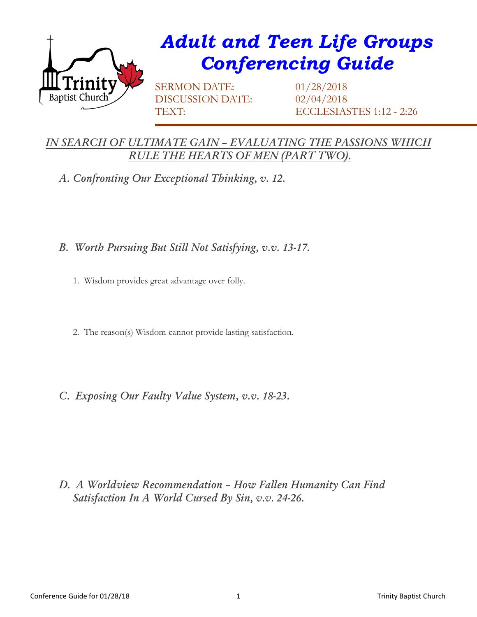

## *Adult and Teen Life Groups Conferencing Guide*

SERMON DATE: 01/28/2018 DISCUSSION DATE: 02/04/2018

TEXT: ECCLESIASTES 1:12 - 2:26

## *IN SEARCH OF ULTIMATE GAIN – EVALUATING THE PASSIONS WHICH RULE THE HEARTS OF MEN (PART TWO).*

*A. Confronting Our Exceptional Thinking, v. 12.*

- *B. Worth Pursuing But Still Not Satisfying, v.v. 13-17.*
	- 1. Wisdom provides great advantage over folly.
	- 2. The reason(s) Wisdom cannot provide lasting satisfaction.
- *C. Exposing Our Faulty Value System, v.v. 18-23.*

*D. A Worldview Recommendation – How Fallen Humanity Can Find Satisfaction In A World Cursed By Sin, v.v. 24-26.*